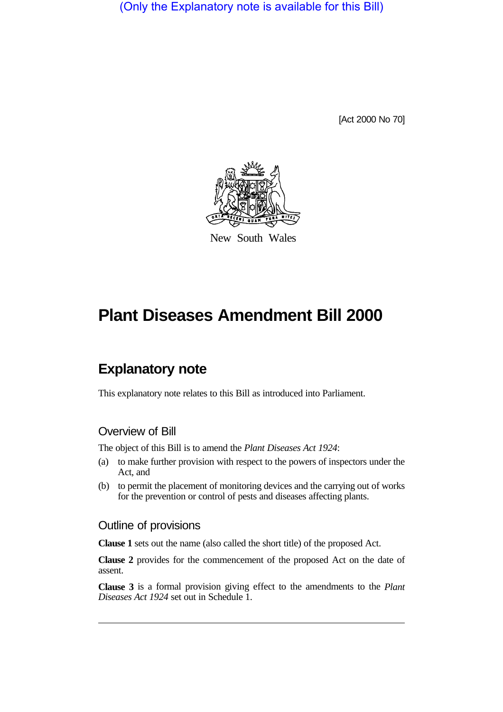(Only the Explanatory note is available for this Bill)

[Act 2000 No 70]



New South Wales

# **Plant Diseases Amendment Bill 2000**

## **Explanatory note**

This explanatory note relates to this Bill as introduced into Parliament.

#### Overview of Bill

The object of this Bill is to amend the *Plant Diseases Act 1924*:

- (a) to make further provision with respect to the powers of inspectors under the Act, and
- (b) to permit the placement of monitoring devices and the carrying out of works for the prevention or control of pests and diseases affecting plants.

#### Outline of provisions

**Clause 1** sets out the name (also called the short title) of the proposed Act.

**Clause 2** provides for the commencement of the proposed Act on the date of assent.

**Clause 3** is a formal provision giving effect to the amendments to the *Plant Diseases Act 1924* set out in Schedule 1.